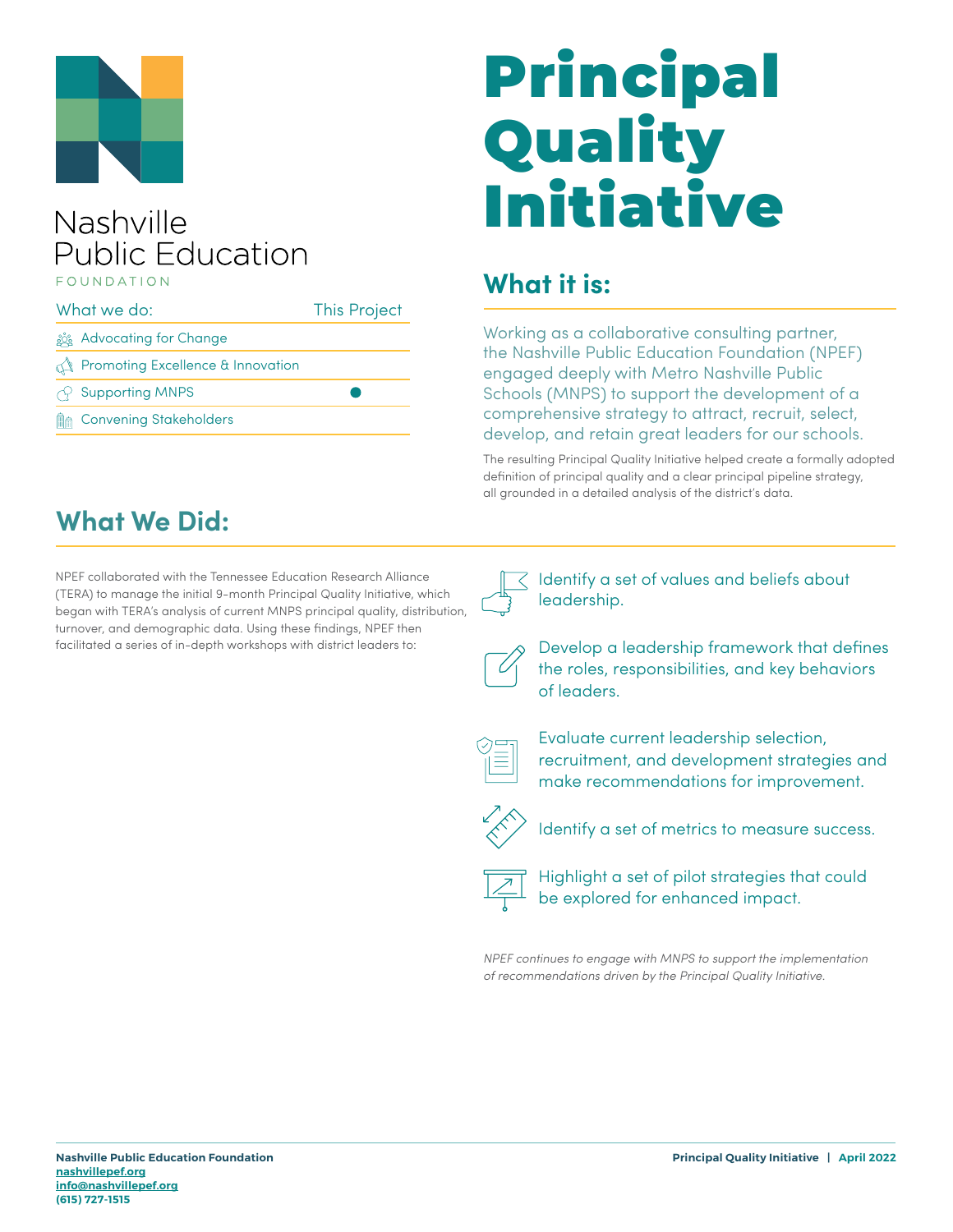

#### Nashville **Public Education EQUINDATION**

#### What we do: This Project ූරී Advocating for Change **Promoting Excellence & Innovation** Supporting MNPS  $\bullet$ ℯ **MA** Convening Stakeholders

# Principal **Quality** Initiative

#### **What it is:**

Working as a collaborative consulting partner, the Nashville Public Education Foundation (NPEF) engaged deeply with Metro Nashville Public Schools (MNPS) to support the development of a comprehensive strategy to attract, recruit, select, develop, and retain great leaders for our schools.

The resulting Principal Quality Initiative helped create a formally adopted definition of principal quality and a clear principal pipeline strategy, all grounded in a detailed analysis of the district's data.

#### **What We Did:**

NPEF collaborated with the Tennessee Education Research Alliance (TERA) to manage the initial 9-month Principal Quality Initiative, which began with TERA's analysis of current MNPS principal quality, distribution, turnover, and demographic data. Using these findings, NPEF then facilitated a series of in-depth workshops with district leaders to:



Identify a set of values and beliefs about leadership.



Develop a leadership framework that defines the roles, responsibilities, and key behaviors of leaders.



Evaluate current leadership selection, recruitment, and development strategies and make recommendations for improvement.



Identify a set of metrics to measure success.



Highlight a set of pilot strategies that could be explored for enhanced impact.

NPEF continues to engage with MNPS to support the implementation of recommendations driven by the Principal Quality Initiative.